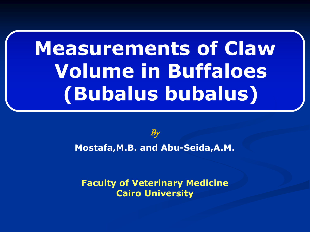# **Measurements of Claw Volume in Buffaloes (Bubalus bubalus)**

 $\bm{B}$ y **Mostafa,M.B. and Abu-Seida,A.M.**

**Faculty of Veterinary Medicine Cairo University**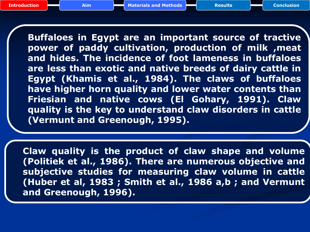**Buffaloes in Egypt are an important source of tractive power of paddy cultivation, production of milk ,meat and hides. The incidence of foot lameness in buffaloes are less than exotic and native breeds of dairy cattle in Egypt (Khamis et al., 1984). The claws of buffaloes have higher horn quality and lower water contents than Friesian and native cows (El Gohary, 1991). Claw quality is the key to understand claw disorders in cattle (Vermunt and Greenough, 1995).**

<span id="page-1-0"></span>**Claw quality is the product of claw shape and volume (Politiek et al., 1986). There are numerous objective and subjective studies for measuring claw volume in cattle (Huber et al, 1983 ; Smith et al., 1986 a,b ; and Vermunt and Greenough, 1996).**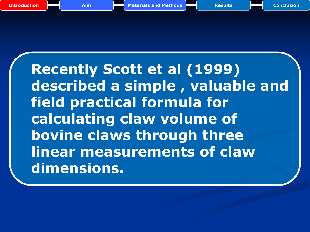**Recently Scott et al (1999) described a simple , valuable and field practical formula for calculating claw volume of bovine claws through three linear measurements of claw dimensions.**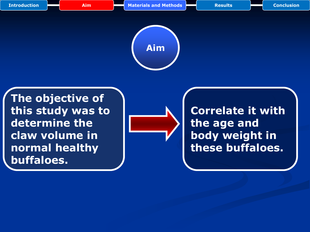

<span id="page-3-0"></span>**The objective of this study was to determine the claw volume in normal healthy buffaloes.** 



**Correlate it with the age and body weight in these buffaloes.**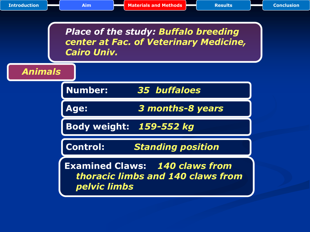<span id="page-4-0"></span>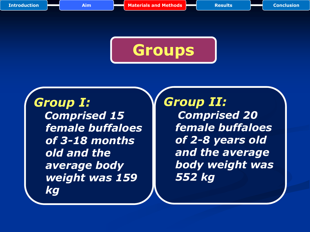

## *Group I:*

 *Comprised 15 female buffaloes of 3-18 months old and the average body weight was 159 kg*

### *Group II: Comprised 20 female buffaloes of 2-8 years old and the average body weight was 552 kg*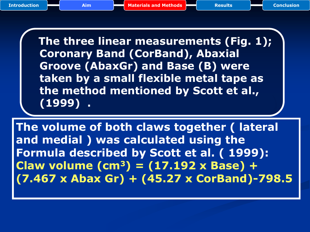**The three linear measurements (Fig. 1); Coronary Band (CorBand), Abaxial Groove (AbaxGr) and Base (B) were taken by a small flexible metal tape as the method mentioned by Scott et al., (1999) .**

<span id="page-6-0"></span>**The volume of both claws together ( lateral and medial ) was calculated using the Formula described by Scott et al. ( 1999): Claw volume (cm<sup>3</sup>) = (17.192 x Base) + (7.467 x Abax Gr) + (45.27 x CorBand)-798.5**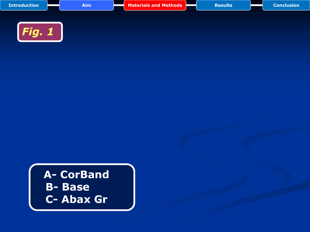| <b>Introduction</b> | <b>Aim</b> | <b>Materials and Methods</b> | <b>Results</b> | <b>Conclusion</b> |
|---------------------|------------|------------------------------|----------------|-------------------|
|                     |            |                              |                |                   |
| Fig. 1              |            |                              |                |                   |

**A- CorBand B- Base C- Abax Gr**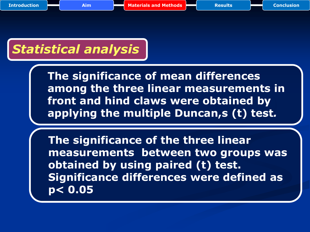# *Statistical analysis*

**The significance of mean differences among the three linear measurements in front and hind claws were obtained by applying the multiple Duncan,s (t) test***.*

**The significance of the three linear measurements between two groups was obtained by using paired (t) test. Significance differences were defined as p< 0.05**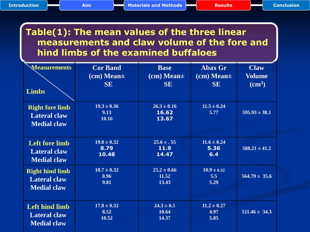#### **Table(1): The mean values of the three linear measurements and claw volume of the fore and hind limbs of the examined buffaloes**

| <b>Measurements</b><br><b>Limbs</b>                                 | <b>Cor Band</b><br>$cm$ ) Mean $\pm$<br><b>SE</b> | <b>Base</b><br>$cm$ ) Mean $\pm$<br><b>SE</b> | <b>Abax Gr</b><br>$cm$ ) Mean $\pm$<br><b>SE</b> | <b>Claw</b><br><b>Volume</b><br>$\rm \left( cm^{3}\right)$ |
|---------------------------------------------------------------------|---------------------------------------------------|-----------------------------------------------|--------------------------------------------------|------------------------------------------------------------|
| <b>Right fore limb</b><br><b>Lateral claw</b><br><b>Medial claw</b> | $19.3 \pm 0.36$<br>9.13<br>10.16                  | $26.3 \pm 0.16$<br>16.62<br>13.67             | $11.5 \pm 0.24$<br>5.77                          | $595.93 \pm 38.1$                                          |
| <b>Left fore limb</b>                                               | $19.0 \pm 0.32$                                   | $25.6 \pm .55$                                | $\overline{11.6} \pm 0.24$                       | $588.21 \pm 41.2$                                          |
| <b>Lateral claw</b>                                                 | 8.79                                              | 11.9                                          | 5.36                                             |                                                            |
| <b>Medial claw</b>                                                  | 10.48                                             | 14.47                                         | 6.4                                              |                                                            |
| <b>Right hind limb</b>                                              | $18.7 \pm 0.32$                                   | $25.2 \pm 0.66$                               | $10.9 \pm 0.32$                                  | $564.79 \pm 35.6$                                          |
| <b>Lateral claw</b>                                                 | 8.96                                              | 11.52                                         | 5.5                                              |                                                            |
| <b>Medial claw</b>                                                  | 9.81                                              | 13.43                                         | 5.29                                             |                                                            |
| <b>Left hind limb</b>                                               | $17.8 \pm 0.32$                                   | $24.3 \pm 0.5$                                | $11.2 \pm 0.27$                                  | $511.46 \pm 34.3$                                          |
| <b>Lateral claw</b>                                                 | 8.52                                              | 10.64                                         | 4.97                                             |                                                            |
| <b>Medial claw</b>                                                  | 10.52                                             | 14.37                                         | 5.85                                             |                                                            |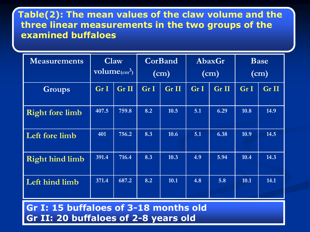### **Table(2): The mean values of the claw volume and the three linear measurements in the two groups of the examined buffaloes**

| <b>Measurements</b>    | Claw<br>$volume_{\text{cm}^3}$ |       | CorBand<br>(cm) |       | AbaxGr<br>(cm) |                  | <b>Base</b><br>(cm) |       |
|------------------------|--------------------------------|-------|-----------------|-------|----------------|------------------|---------------------|-------|
| <b>Groups</b>          | Gr I                           | Gr II | Gr I            | Gr II | Gr I           | Gr <sub>II</sub> | Gr I                | Gr II |
| <b>Right fore limb</b> | 407.5                          | 759.8 | 8.2             | 10.5  | 5.1            | 6.29             | 10.8                | 14.9  |
| Left fore limb         | 401                            | 756.2 | 8.3             | 10.6  | 5.1            | 6.38             | 10.9                | 14.5  |
| <b>Right hind limb</b> | 391.4                          | 716.4 | 8.3             | 10.3  | 4.9            | 5.94             | 10.4                | 14.3  |
| Left hind limb         | 371.4                          | 687.2 | 8.2             | 10.1  | 4.8            | 5.8              | 10.1                | 14.1  |

**Gr I: 15 buffaloes of 3-18 months old Gr II: 20 buffaloes of 2-8 years old**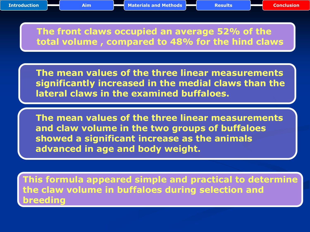### **The front claws occupied an average 52% of the total volume , compared to 48% for the hind claws**

 **The mean values of the three linear measurements significantly increased in the medial claws than the lateral claws in the examined buffaloes.**

 **The mean values of the three linear measurements and claw volume in the two groups of buffaloes showed a significant increase as the animals advanced in age and body weight.**

**This formula appeared simple and practical to determine the claw volume in buffaloes during selection and breeding**